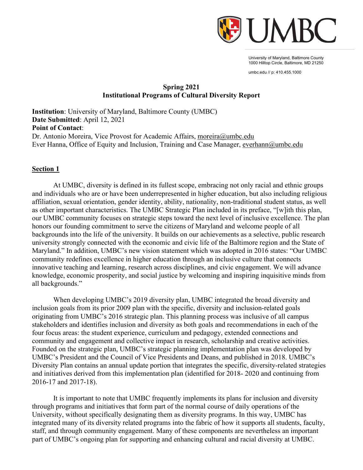

University of Maryland, Baltimore County 1000 Hilltop Circle, Baltimore, MD 21250

umbc.edu // p: 410.455.1000

## **Spring 2021 Institutional Programs of Cultural Diversity Report**

**Institution**: University of Maryland, Baltimore County (UMBC) **Date Submitted**: April 12, 2021 **Point of Contact**: Dr. Antonio Moreira, Vice Provost for Academic Affairs, [moreira@umbc.edu](mailto:moreira@umbc.edu) Ever Hanna, Office of Equity and Inclusion, Training and Case Manager, [everhann@umbc.edu](mailto:everhann@umbc.edu)

#### **Section 1**

At UMBC, diversity is defined in its fullest scope, embracing not only racial and ethnic groups and individuals who are or have been underrepresented in higher education, but also including religious affiliation, sexual orientation, gender identity, ability, nationality, non-traditional student status, as well as other important characteristics. The UMBC Strategic Plan included in its preface, "[w]ith this plan, our UMBC community focuses on strategic steps toward the next level of inclusive excellence. The plan honors our founding commitment to serve the citizens of Maryland and welcome people of all backgrounds into the life of the university. It builds on our achievements as a selective, public research university strongly connected with the economic and civic life of the Baltimore region and the State of Maryland." In addition, UMBC's new vision statement which was adopted in 2016 states: "Our UMBC community redefines excellence in higher education through an inclusive culture that connects innovative teaching and learning, research across disciplines, and civic engagement. We will advance knowledge, economic prosperity, and social justice by welcoming and inspiring inquisitive minds from all backgrounds."

When developing UMBC's 2019 diversity plan, UMBC integrated the broad diversity and inclusion goals from its prior 2009 plan with the specific, diversity and inclusion-related goals originating from UMBC's 2016 strategic plan. This planning process was inclusive of all campus stakeholders and identifies inclusion and diversity as both goals and recommendations in each of the four focus areas: the student experience, curriculum and pedagogy, extended connections and community and engagement and collective impact in research, scholarship and creative activities. Founded on the strategic plan, UMBC's strategic planning implementation plan was developed by UMBC's President and the Council of Vice Presidents and Deans, and published in 2018. UMBC's Diversity Plan contains an annual update portion that integrates the specific, diversity-related strategies and initiatives derived from this implementation plan (identified for 2018- 2020 and continuing from 2016-17 and 2017-18).

It is important to note that UMBC frequently implements its plans for inclusion and diversity through programs and initiatives that form part of the normal course of daily operations of the University, without specifically designating them as diversity programs. In this way, UMBC has integrated many of its diversity related programs into the fabric of how it supports all students, faculty, staff, and through community engagement. Many of these components are nevertheless an important part of UMBC's ongoing plan for supporting and enhancing cultural and racial diversity at UMBC.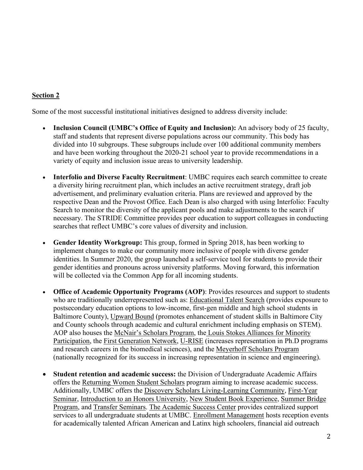# **Section 2**

Some of the most successful institutional initiatives designed to address diversity include:

- **Inclusion Council (UMBC's Office of Equity and Inclusion):** An advisory body of 25 faculty, staff and students that represent diverse populations across our community. This body has divided into 10 subgroups. These subgroups include over 100 additional community members and have been working throughout the 2020-21 school year to provide recommendations in a variety of equity and inclusion issue areas to university leadership.
- **Interfolio and Diverse Faculty Recruitment**: UMBC requires each search committee to create a diversity hiring recruitment plan, which includes an active recruitment strategy, draft job advertisement, and preliminary evaluation criteria. Plans are reviewed and approved by the respective Dean and the Provost Office. Each Dean is also charged with using Interfolio: Faculty Search to monitor the diversity of the applicant pools and make adjustments to the search if necessary. The STRIDE Committee provides peer education to support colleagues in conducting searches that reflect UMBC's core values of diversity and inclusion.
- **Gender Identity Workgroup:** This group, formed in Spring 2018, has been working to implement changes to make our community more inclusive of people with diverse gender identities. In Summer 2020, the group launched a self-service tool for students to provide their gender identities and pronouns across university platforms. Moving forward, this information will be collected via the Common App for all incoming students.
- **Office of Academic Opportunity Programs (AOP)**: Provides resources and support to students who are traditionally underrepresented such as: Educational Talent Search (provides exposure to postsecondary education options to low-income, first-gen middle and high school students in Baltimore County), Upward Bound (promotes enhancement of student skills in Baltimore City and County schools through academic and cultural enrichment including emphasis on STEM). AOP also houses the McNair's Scholars Program, the Louis Stokes Alliances for Minority Participation, the First Generation Network, U-RISE (increases representation in Ph.D programs and research careers in the biomedical sciences), and the Meyerhoff Scholars Program (nationally recognized for its success in increasing representation in science and engineering).
- **Student retention and academic success:** the Division of Undergraduate Academic Affairs offers the Returning Women Student Scholars program aiming to increase academic success. Additionally, UMBC offers the Discovery Scholars Living-Learning Community, First-Year Seminar, Introduction to an Honors University, New Student Book Experience, Summer Bridge Program, and Transfer Seminars. The Academic Success Center provides centralized support services to all undergraduate students at UMBC. Enrollment Management hosts reception events for academically talented African American and Latinx high schoolers, financial aid outreach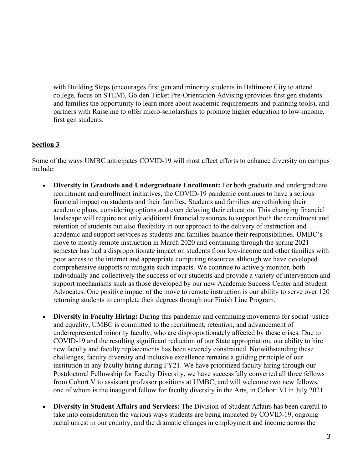with Building Steps (encourages first gen and minority students in Baltimore City to attend college, focus on STEM), Golden Ticket Pre-Orientation Advising (provides first gen students and families the opportunity to learn more about academic requirements and planning tools), and partners with Raise.me to offer micro-scholarships to promote higher education to low-income, first gen students.

#### **Section 3**

Some of the ways UMBC anticipates COVID-19 will most affect efforts to enhance diversity on campus include:

- **Diversity in Graduate and Undergraduate Enrollment:** For both graduate and undergraduate recruitment and enrollment initiatives, the COVID-19 pandemic continues to have a serious financial impact on students and their families. Students and families are rethinking their academic plans, considering options and even delaying their education. This changing financial landscape will require not only additional financial resources to support both the recruitment and retention of students but also flexibility in our approach to the delivery of instruction and academic and support services as students and families balance their responsibilities. UMBC's move to mostly remote instruction in March 2020 and continuing through the spring 2021 semester has had a disproportionate impact on students from low-income and other families with poor access to the internet and appropriate computing resources although we have developed comprehensive supports to mitigate such impacts. We continue to actively monitor, both individually and collectively the success of our students and provide a variety of intervention and support mechanisms such as those developed by our new Academic Success Center and Student Advocates. One positive impact of the move to remote instruction is our ability to serve over 120 returning students to complete their degrees through our Finish Line Program.
- **Diversity in Faculty Hiring:** During this pandemic and continuing movements for social justice and equality, UMBC is committed to the recruitment, retention, and advancement of underrepresented minority faculty, who are disproportionately affected by these crises. Due to COVID-19 and the resulting significant reduction of our State appropriation, our ability to hire new faculty and faculty replacements has been severely constrained. Notwithstanding these challenges, faculty diversity and inclusive excellence remains a guiding principle of our institution in any faculty hiring during FY21. We have prioritized faculty hiring through our Postdoctoral Fellowship for Faculty Diversity, we have successfully converted all three fellows from Cohort V to assistant professor positions at UMBC, and will welcome two new fellows, one of whom is the inaugural fellow for faculty diversity in the Arts, in Cohort VI in July 2021.
- **Diversity in Student Affairs and Services:** The Division of Student Affairs has been careful to take into consideration the various ways students are being impacted by COVID-19, ongoing racial unrest in our country, and the dramatic changes in employment and income across the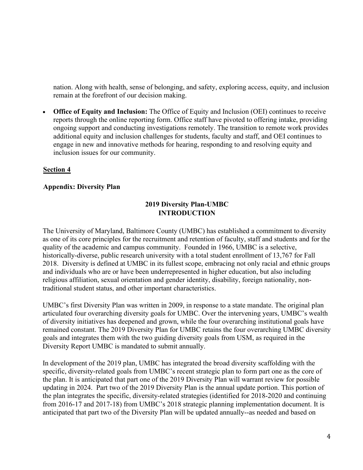nation. Along with health, sense of belonging, and safety, exploring access, equity, and inclusion remain at the forefront of our decision making.

• **Office of Equity and Inclusion:** The Office of Equity and Inclusion (OEI) continues to receive reports through the online reporting form. Office staff have pivoted to offering intake, providing ongoing support and conducting investigations remotely. The transition to remote work provides additional equity and inclusion challenges for students, faculty and staff, and OEI continues to engage in new and innovative methods for hearing, responding to and resolving equity and inclusion issues for our community.

#### **Section 4**

#### **Appendix: Diversity Plan**

# **2019 Diversity Plan-UMBC INTRODUCTION**

The University of Maryland, Baltimore County (UMBC) has established a commitment to diversity as one of its core principles for the recruitment and retention of faculty, staff and students and for the quality of the academic and campus community. Founded in 1966, UMBC is a selective, historically-diverse, public research university with a total student enrollment of 13,767 for Fall 2018. Diversity is defined at UMBC in its fullest scope, embracing not only racial and ethnic groups and individuals who are or have been underrepresented in higher education, but also including religious affiliation, sexual orientation and gender identity, disability, foreign nationality, nontraditional student status, and other important characteristics.

UMBC's first Diversity Plan was written in 2009, in response to a state mandate. The original plan articulated four overarching diversity goals for UMBC. Over the intervening years, UMBC's wealth of diversity initiatives has deepened and grown, while the four overarching institutional goals have remained constant. The 2019 Diversity Plan for UMBC retains the four overarching UMBC diversity goals and integrates them with the two guiding diversity goals from USM, as required in the Diversity Report UMBC is mandated to submit annually.

In development of the 2019 plan, UMBC has integrated the broad diversity scaffolding with the specific, diversity-related goals from UMBC's recent strategic plan to form part one as the core of the plan. It is anticipated that part one of the 2019 Diversity Plan will warrant review for possible updating in 2024. Part two of the 2019 Diversity Plan is the annual update portion. This portion of the plan integrates the specific, diversity-related strategies (identified for 2018-2020 and continuing from 2016-17 and 2017-18) from UMBC's 2018 strategic planning implementation document. It is anticipated that part two of the Diversity Plan will be updated annually--as needed and based on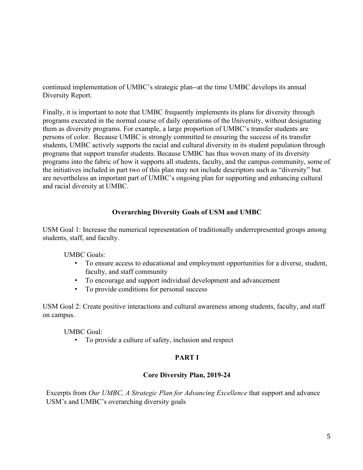continued implementation of UMBC's strategic plan--at the time UMBC develops its annual Diversity Report.

Finally, it is important to note that UMBC frequently implements its plans for diversity through programs executed in the normal course of daily operations of the University, without designating them as diversity programs. For example, a large proportion of UMBC's transfer students are persons of color. Because UMBC is strongly committed to ensuring the success of its transfer students, UMBC actively supports the racial and cultural diversity in its student population through programs that support transfer students. Because UMBC has thus woven many of its diversity programs into the fabric of how it supports all students, faculty, and the campus community, some of the initiatives included in part two of this plan may not include descriptors such as "diversity" but are nevertheless an important part of UMBC's ongoing plan for supporting and enhancing cultural and racial diversity at UMBC.

# **Overarching Diversity Goals of USM and UMBC**

USM Goal 1: Increase the numerical representation of traditionally underrepresented groups among students, staff, and faculty.

UMBC Goals:

- To ensure access to educational and employment opportunities for a diverse, student, faculty, and staff community
- To encourage and support individual development and advancement
- To provide conditions for personal success

USM Goal 2: Create positive interactions and cultural awareness among students, faculty, and staff on campus.

UMBC Goal:

• To provide a culture of safety, inclusion and respect

# **PART I**

### **Core Diversity Plan, 2019-24**

Excerpts from *Our UMBC, A Strategic Plan for Advancing Excellence* that support and advance USM's and UMBC's overarching diversity goals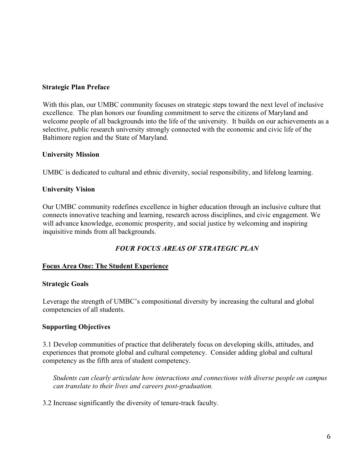#### **Strategic Plan Preface**

With this plan, our UMBC community focuses on strategic steps toward the next level of inclusive excellence. The plan honors our founding commitment to serve the citizens of Maryland and welcome people of all backgrounds into the life of the university. It builds on our achievements as a selective, public research university strongly connected with the economic and civic life of the Baltimore region and the State of Maryland.

#### **University Mission**

UMBC is dedicated to cultural and ethnic diversity, social responsibility, and lifelong learning.

### **University Vision**

Our UMBC community redefines excellence in higher education through an inclusive culture that connects innovative teaching and learning, research across disciplines, and civic engagement. We will advance knowledge, economic prosperity, and social justice by welcoming and inspiring inquisitive minds from all backgrounds.

# *FOUR FOCUS AREAS OF STRATEGIC PLAN*

### **Focus Area One: The Student Experience**

#### **Strategic Goals**

Leverage the strength of UMBC's compositional diversity by increasing the cultural and global competencies of all students.

### **Supporting Objectives**

3.1 Develop communities of practice that deliberately focus on developing skills, attitudes, and experiences that promote global and cultural competency. Consider adding global and cultural competency as the fifth area of student competency.

*Students can clearly articulate how interactions and connections with diverse people on campus can translate to their lives and careers post-graduation.*

3.2 Increase significantly the diversity of tenure-track faculty.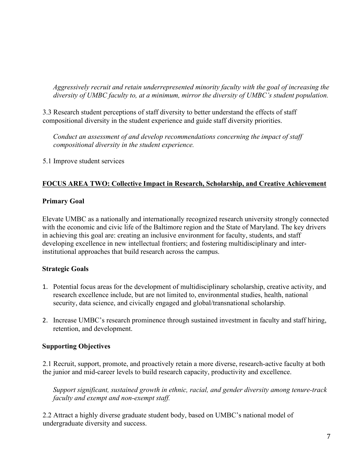*Aggressively recruit and retain underrepresented minority faculty with the goal of increasing the diversity of UMBC faculty to, at a minimum, mirror the diversity of UMBC's student population.*

3.3 Research student perceptions of staff diversity to better understand the effects of staff compositional diversity in the student experience and guide staff diversity priorities.

*Conduct an assessment of and develop recommendations concerning the impact of staff compositional diversity in the student experience.*

5.1 Improve student services

### **FOCUS AREA TWO: Collective Impact in Research, Scholarship, and Creative Achievement**

### **Primary Goal**

Elevate UMBC as a nationally and internationally recognized research university strongly connected with the economic and civic life of the Baltimore region and the State of Maryland. The key drivers in achieving this goal are: creating an inclusive environment for faculty, students, and staff developing excellence in new intellectual frontiers; and fostering multidisciplinary and interinstitutional approaches that build research across the campus.

### **Strategic Goals**

- 1. Potential focus areas for the development of multidisciplinary scholarship, creative activity, and research excellence include, but are not limited to, environmental studies, health, national security, data science, and civically engaged and global/transnational scholarship.
- 2. Increase UMBC's research prominence through sustained investment in faculty and staff hiring, retention, and development.

# **Supporting Objectives**

2.1 Recruit, support, promote, and proactively retain a more diverse, research-active faculty at both the junior and mid-career levels to build research capacity, productivity and excellence.

*Support significant, sustained growth in ethnic, racial, and gender diversity among tenure-track faculty and exempt and non-exempt staff.*

2.2 Attract a highly diverse graduate student body, based on UMBC's national model of undergraduate diversity and success.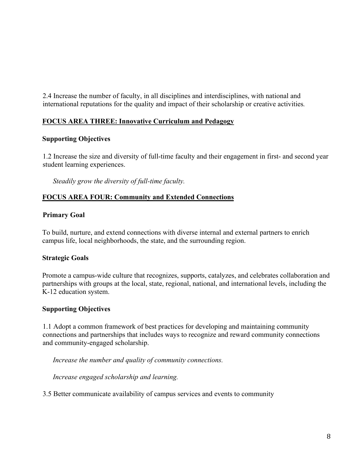2.4 Increase the number of faculty, in all disciplines and interdisciplines, with national and international reputations for the quality and impact of their scholarship or creative activities*.* 

# **FOCUS AREA THREE: Innovative Curriculum and Pedagogy**

#### **Supporting Objectives**

1.2 Increase the size and diversity of full-time faculty and their engagement in first- and second year student learning experiences.

*Steadily grow the diversity of full-time faculty.*

#### **FOCUS AREA FOUR: Community and Extended Connections**

#### **Primary Goal**

To build, nurture, and extend connections with diverse internal and external partners to enrich campus life, local neighborhoods, the state, and the surrounding region.

#### **Strategic Goals**

Promote a campus-wide culture that recognizes, supports, catalyzes, and celebrates collaboration and partnerships with groups at the local, state, regional, national, and international levels, including the K-12 education system.

### **Supporting Objectives**

1.1 Adopt a common framework of best practices for developing and maintaining community connections and partnerships that includes ways to recognize and reward community connections and community-engaged scholarship.

*Increase the number and quality of community connections.*

*Increase engaged scholarship and learning.*

3.5 Better communicate availability of campus services and events to community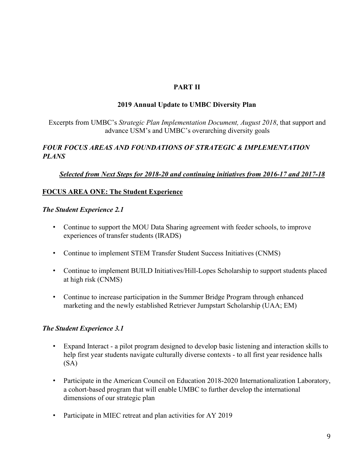## **PART II**

#### **2019 Annual Update to UMBC Diversity Plan**

Excerpts from UMBC's *Strategic Plan Implementation Document, August 2018*, that support and advance USM's and UMBC's overarching diversity goals

# *FOUR FOCUS AREAS AND FOUNDATIONS OF STRATEGIC & IMPLEMENTATION PLANS*

### *Selected from Next Steps for 2018-20 and continuing initiatives from 2016-17 and 2017-18*

# **FOCUS AREA ONE: The Student Experience**

#### *The Student Experience 2.1*

- Continue to support the MOU Data Sharing agreement with feeder schools, to improve experiences of transfer students (IRADS)
- Continue to implement STEM Transfer Student Success Initiatives (CNMS)
- Continue to implement BUILD Initiatives/Hill-Lopes Scholarship to support students placed at high risk (CNMS)
- Continue to increase participation in the Summer Bridge Program through enhanced marketing and the newly established Retriever Jumpstart Scholarship (UAA; EM)

### *The Student Experience 3.1*

- Expand Interact a pilot program designed to develop basic listening and interaction skills to help first year students navigate culturally diverse contexts - to all first year residence halls (SA)
- Participate in the American Council on Education 2018-2020 Internationalization Laboratory, a cohort-based program that will enable UMBC to further develop the international dimensions of our strategic plan
- Participate in MIEC retreat and plan activities for AY 2019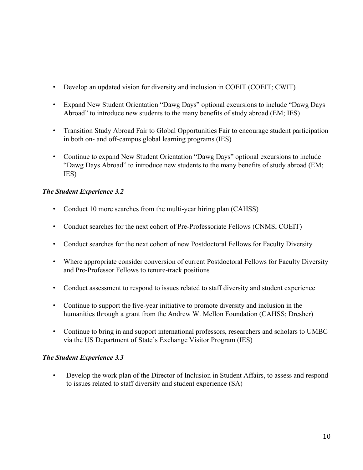- Develop an updated vision for diversity and inclusion in COEIT (COEIT; CWIT)
- Expand New Student Orientation "Dawg Days" optional excursions to include "Dawg Days Abroad" to introduce new students to the many benefits of study abroad (EM; IES)
- Transition Study Abroad Fair to Global Opportunities Fair to encourage student participation in both on- and off-campus global learning programs (IES)
- Continue to expand New Student Orientation "Dawg Days" optional excursions to include "Dawg Days Abroad" to introduce new students to the many benefits of study abroad (EM; IES)

# *The Student Experience 3.2*

- Conduct 10 more searches from the multi-year hiring plan (CAHSS)
- Conduct searches for the next cohort of Pre-Professoriate Fellows (CNMS, COEIT)
- Conduct searches for the next cohort of new Postdoctoral Fellows for Faculty Diversity
- Where appropriate consider conversion of current Postdoctoral Fellows for Faculty Diversity and Pre-Professor Fellows to tenure-track positions
- Conduct assessment to respond to issues related to staff diversity and student experience
- Continue to support the five-year initiative to promote diversity and inclusion in the humanities through a grant from the Andrew W. Mellon Foundation (CAHSS; Dresher)
- Continue to bring in and support international professors, researchers and scholars to UMBC via the US Department of State's Exchange Visitor Program (IES)

# *The Student Experience 3.3*

• Develop the work plan of the Director of Inclusion in Student Affairs, to assess and respond to issues related to staff diversity and student experience (SA)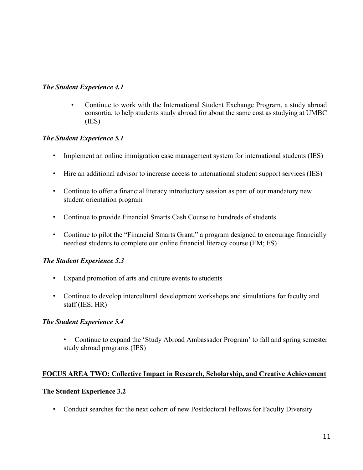# *The Student Experience 4.1*

• Continue to work with the International Student Exchange Program, a study abroad consortia, to help students study abroad for about the same cost as studying at UMBC (IES)

# *The Student Experience 5.1*

- Implement an online immigration case management system for international students (IES)
- Hire an additional advisor to increase access to international student support services (IES)
- Continue to offer a financial literacy introductory session as part of our mandatory new student orientation program
- Continue to provide Financial Smarts Cash Course to hundreds of students
- Continue to pilot the "Financial Smarts Grant," a program designed to encourage financially neediest students to complete our online financial literacy course (EM; FS)

# *The Student Experience 5.3*

- Expand promotion of arts and culture events to students
- Continue to develop intercultural development workshops and simulations for faculty and staff (IES; HR)

### *The Student Experience 5.4*

• Continue to expand the 'Study Abroad Ambassador Program' to fall and spring semester study abroad programs (IES)

### **FOCUS AREA TWO: Collective Impact in Research, Scholarship, and Creative Achievement**

### **The Student Experience 3.2**

• Conduct searches for the next cohort of new Postdoctoral Fellows for Faculty Diversity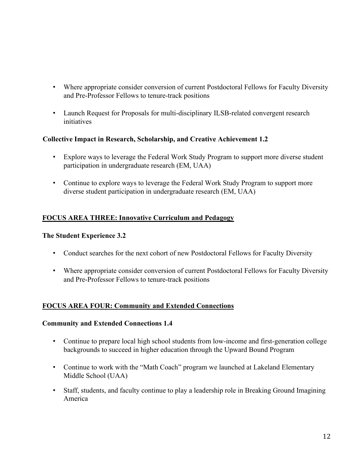- Where appropriate consider conversion of current Postdoctoral Fellows for Faculty Diversity and Pre-Professor Fellows to tenure-track positions
- Launch Request for Proposals for multi-disciplinary ILSB-related convergent research initiatives

# **Collective Impact in Research, Scholarship, and Creative Achievement 1.2**

- Explore ways to leverage the Federal Work Study Program to support more diverse student participation in undergraduate research (EM, UAA)
- Continue to explore ways to leverage the Federal Work Study Program to support more diverse student participation in undergraduate research (EM, UAA)

# **FOCUS AREA THREE: Innovative Curriculum and Pedagogy**

#### **The Student Experience 3.2**

- Conduct searches for the next cohort of new Postdoctoral Fellows for Faculty Diversity
- Where appropriate consider conversion of current Postdoctoral Fellows for Faculty Diversity and Pre-Professor Fellows to tenure-track positions

### **FOCUS AREA FOUR: Community and Extended Connections**

### **Community and Extended Connections 1.4**

- Continue to prepare local high school students from low-income and first-generation college backgrounds to succeed in higher education through the Upward Bound Program
- Continue to work with the "Math Coach" program we launched at Lakeland Elementary Middle School (UAA)
- Staff, students, and faculty continue to play a leadership role in Breaking Ground Imagining America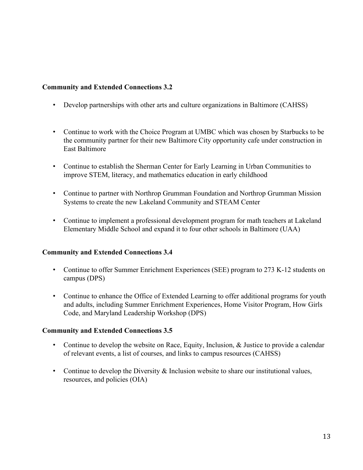## **Community and Extended Connections 3.2**

- Develop partnerships with other arts and culture organizations in Baltimore (CAHSS)
- Continue to work with the Choice Program at UMBC which was chosen by Starbucks to be the community partner for their new Baltimore City opportunity cafe under construction in East Baltimore
- Continue to establish the Sherman Center for Early Learning in Urban Communities to improve STEM, literacy, and mathematics education in early childhood
- Continue to partner with Northrop Grumman Foundation and Northrop Grumman Mission Systems to create the new Lakeland Community and STEAM Center
- Continue to implement a professional development program for math teachers at Lakeland Elementary Middle School and expand it to four other schools in Baltimore (UAA)

### **Community and Extended Connections 3.4**

- Continue to offer Summer Enrichment Experiences (SEE) program to 273 K-12 students on campus (DPS)
- Continue to enhance the Office of Extended Learning to offer additional programs for youth and adults, including Summer Enrichment Experiences, Home Visitor Program, How Girls Code, and Maryland Leadership Workshop (DPS)

### **Community and Extended Connections 3.5**

- Continue to develop the website on Race, Equity, Inclusion, & Justice to provide a calendar of relevant events, a list of courses, and links to campus resources (CAHSS)
- Continue to develop the Diversity & Inclusion website to share our institutional values, resources, and policies (OIA)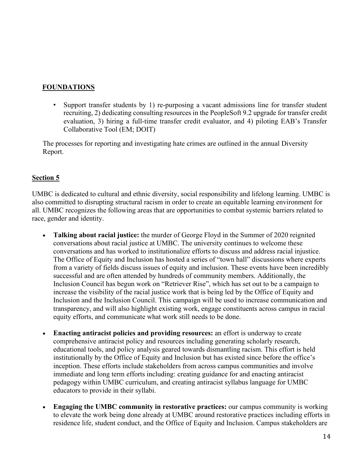## **FOUNDATIONS**

• Support transfer students by 1) re-purposing a vacant admissions line for transfer student recruiting, 2) dedicating consulting resources in the PeopleSoft 9.2 upgrade for transfer credit evaluation, 3) hiring a full-time transfer credit evaluator, and 4) piloting EAB's Transfer Collaborative Tool (EM; DOIT)

The processes for reporting and investigating hate crimes are outlined in the annual Diversity Report.

# **Section 5**

UMBC is dedicated to cultural and ethnic diversity, social responsibility and lifelong learning. UMBC is also committed to disrupting structural racism in order to create an equitable learning environment for all. UMBC recognizes the following areas that are opportunities to combat systemic barriers related to race, gender and identity.

- **Talking about racial justice:** the murder of George Floyd in the Summer of 2020 reignited conversations about racial justice at UMBC. The university continues to welcome these conversations and has worked to institutionalize efforts to discuss and address racial injustice. The Office of Equity and Inclusion has hosted a series of "town hall" discussions where experts from a variety of fields discuss issues of equity and inclusion. These events have been incredibly successful and are often attended by hundreds of community members. Additionally, the Inclusion Council has begun work on "Retriever Rise", which has set out to be a campaign to increase the visibility of the racial justice work that is being led by the Office of Equity and Inclusion and the Inclusion Council. This campaign will be used to increase communication and transparency, and will also highlight existing work, engage constituents across campus in racial equity efforts, and communicate what work still needs to be done.
- **Enacting antiracist policies and providing resources:** an effort is underway to create comprehensive antiracist policy and resources including generating scholarly research, educational tools, and policy analysis geared towards dismantling racism. This effort is held institutionally by the Office of Equity and Inclusion but has existed since before the office's inception. These efforts include stakeholders from across campus communities and involve immediate and long term efforts including: creating guidance for and enacting antiracist pedagogy within UMBC curriculum, and creating antiracist syllabus language for UMBC educators to provide in their syllabi.
- **Engaging the UMBC community in restorative practices:** our campus community is working to elevate the work being done already at UMBC around restorative practices including efforts in residence life, student conduct, and the Office of Equity and Inclusion. Campus stakeholders are